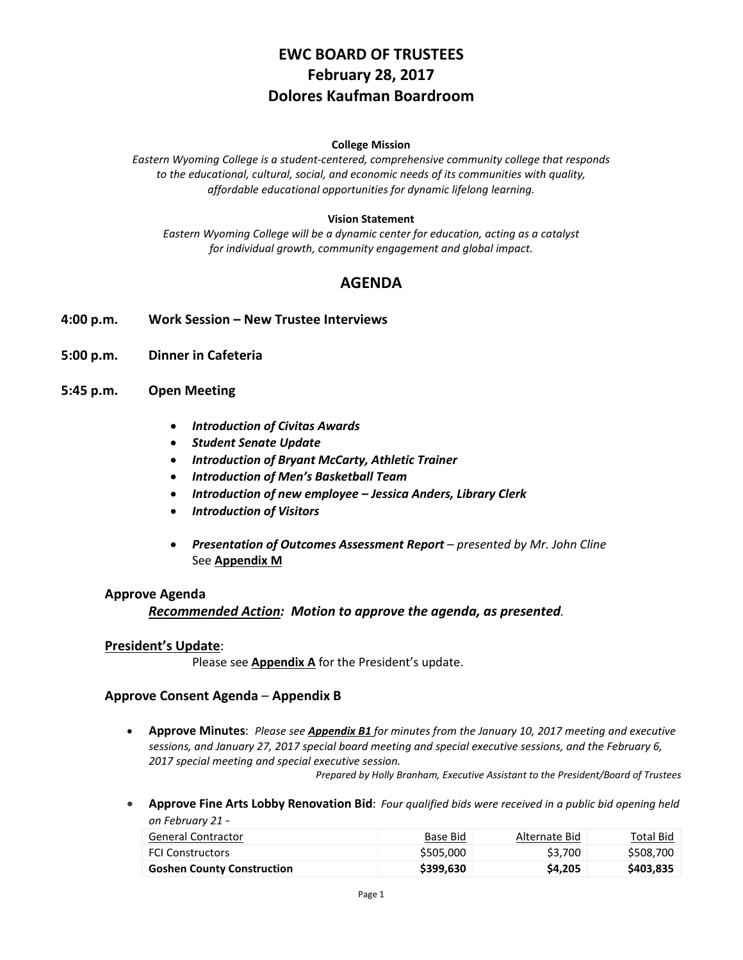# **EWC BOARD OF TRUSTEES February 28, 2017 Dolores Kaufman Boardroom**

#### **College Mission**

*Eastern Wyoming College is a student-centered, comprehensive community college that responds to the educational, cultural, social, and economic needs of its communities with quality, affordable educational opportunities for dynamic lifelong learning.*

#### **Vision Statement**

*Eastern Wyoming College will be a dynamic center for education, acting as a catalyst for individual growth, community engagement and global impact.*

## **AGENDA**

- **4:00 p.m. Work Session – New Trustee Interviews**
- **5:00 p.m. Dinner in Cafeteria**
- **5:45 p.m. Open Meeting**
	- *Introduction of Civitas Awards*
	- *Student Senate Update*
	- *Introduction of Bryant McCarty, Athletic Trainer*
	- *Introduction of Men's Basketball Team*
	- *Introduction of new employee – Jessica Anders, Library Clerk*
	- *Introduction of Visitors*
	- *Presentation of Outcomes Assessment Report – presented by Mr. John Cline* See **Appendix M**

#### **Approve Agenda**

*Recommended Action: Motion to approve the agenda, as presented.*

#### **President's Update**:

Please see **Appendix A** for the President's update.

#### **Approve Consent Agenda** – **Appendix B**

• **Approve Minutes**: *Please see Appendix B1 for minutes from the January 10, 2017 meeting and executive sessions, and January 27, 2017 special board meeting and special executive sessions, and the February 6, 2017 special meeting and special executive session.*

*Prepared by Holly Branham, Executive Assistant to the President/Board of Trustees*

• **Approve Fine Arts Lobby Renovation Bid**: *Four qualified bids were received in a public bid opening held on February 21* -

| General Contractor                | Base Bid  | Alternate Bid | Total Bid |
|-----------------------------------|-----------|---------------|-----------|
| <b>FCI Constructors</b>           | \$505,000 | \$3.700       | \$508,700 |
| <b>Goshen County Construction</b> | \$399,630 | \$4.205       | \$403,835 |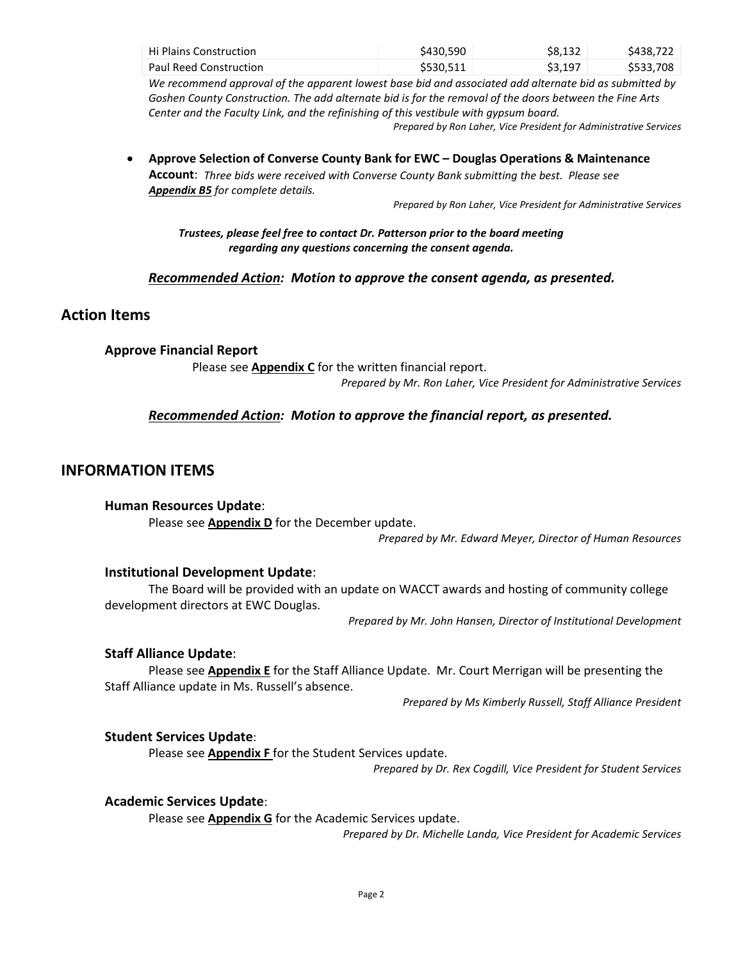| <b>Hi Plains Construction</b> | \$430.590 | \$8.132 | \$438.722 |
|-------------------------------|-----------|---------|-----------|
| <b>Paul Reed Construction</b> | \$530.511 | \$3,197 | \$533,708 |

*We recommend approval of the apparent lowest base bid and associated add alternate bid as submitted by Goshen County Construction. The add alternate bid is for the removal of the doors between the Fine Arts Center and the Faculty Link, and the refinishing of this vestibule with gypsum board. Prepared by Ron Laher, Vice President for Administrative Services*

• **Approve Selection of Converse County Bank for EWC – Douglas Operations & Maintenance Account**: *Three bids were received with Converse County Bank submitting the best. Please see Appendix B5 for complete details.*

*Prepared by Ron Laher, Vice President for Administrative Services*

*Trustees, please feel free to contact Dr. Patterson prior to the board meeting regarding any questions concerning the consent agenda.*

## *Recommended Action: Motion to approve the consent agenda, as presented.*

## **Action Items**

## **Approve Financial Report**

Please see **Appendix C** for the written financial report. *Prepared by Mr. Ron Laher, Vice President for Administrative Services*

## *Recommended Action: Motion to approve the financial report, as presented.*

## **INFORMATION ITEMS**

## **Human Resources Update**:

Please see **Appendix D** for the December update. *Prepared by Mr. Edward Meyer, Director of Human Resources*

## **Institutional Development Update**:

The Board will be provided with an update on WACCT awards and hosting of community college development directors at EWC Douglas.

*Prepared by Mr. John Hansen, Director of Institutional Development*

## **Staff Alliance Update**:

Please see **Appendix E** for the Staff Alliance Update. Mr. Court Merrigan will be presenting the Staff Alliance update in Ms. Russell's absence.

*Prepared by Ms Kimberly Russell, Staff Alliance President* 

## **Student Services Update**:

Please see **Appendix F** for the Student Services update.

*Prepared by Dr. Rex Cogdill, Vice President for Student Services*

#### **Academic Services Update**:

Please see **Appendix G** for the Academic Services update.

*Prepared by Dr. Michelle Landa, Vice President for Academic Services*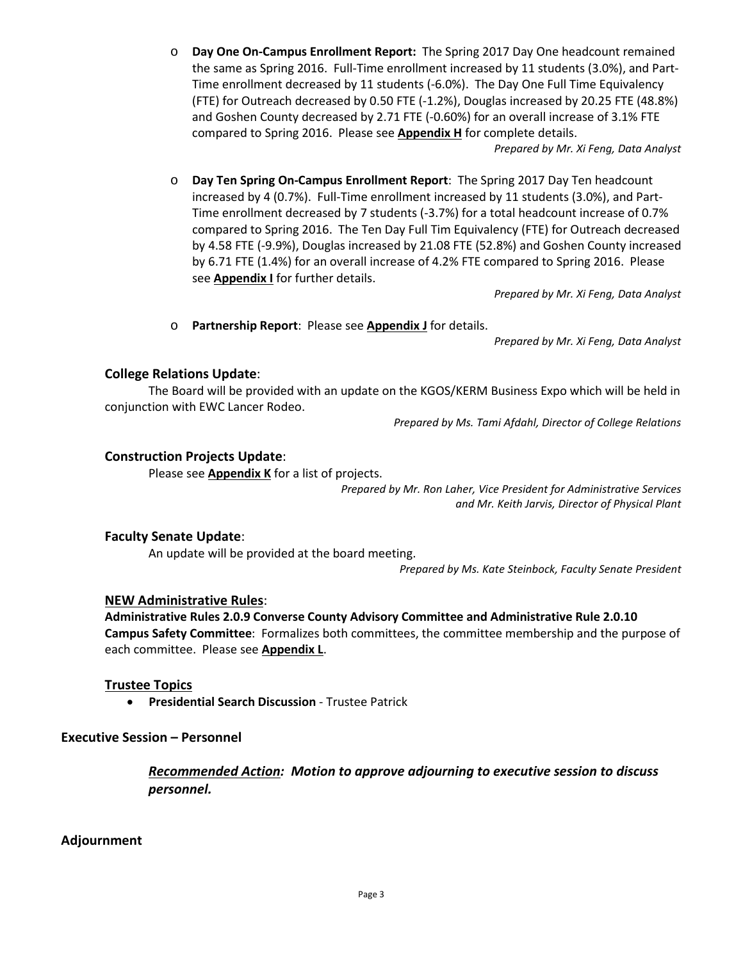o **Day One On-Campus Enrollment Report:** The Spring 2017 Day One headcount remained the same as Spring 2016. Full-Time enrollment increased by 11 students (3.0%), and Part-Time enrollment decreased by 11 students (-6.0%). The Day One Full Time Equivalency (FTE) for Outreach decreased by 0.50 FTE (-1.2%), Douglas increased by 20.25 FTE (48.8%) and Goshen County decreased by 2.71 FTE (-0.60%) for an overall increase of 3.1% FTE compared to Spring 2016. Please see **Appendix H** for complete details.

*Prepared by Mr. Xi Feng, Data Analyst*

o **Day Ten Spring On-Campus Enrollment Report**: The Spring 2017 Day Ten headcount increased by 4 (0.7%). Full-Time enrollment increased by 11 students (3.0%), and Part-Time enrollment decreased by 7 students (-3.7%) for a total headcount increase of 0.7% compared to Spring 2016. The Ten Day Full Tim Equivalency (FTE) for Outreach decreased by 4.58 FTE (-9.9%), Douglas increased by 21.08 FTE (52.8%) and Goshen County increased by 6.71 FTE (1.4%) for an overall increase of 4.2% FTE compared to Spring 2016. Please see **Appendix I** for further details.

*Prepared by Mr. Xi Feng, Data Analyst*

o **Partnership Report**: Please see **Appendix J** for details.

*Prepared by Mr. Xi Feng, Data Analyst*

#### **College Relations Update**:

The Board will be provided with an update on the KGOS/KERM Business Expo which will be held in conjunction with EWC Lancer Rodeo.

*Prepared by Ms. Tami Afdahl, Director of College Relations*

#### **Construction Projects Update**:

Please see **Appendix K** for a list of projects. *Prepared by Mr. Ron Laher, Vice President for Administrative Services*

*and Mr. Keith Jarvis, Director of Physical Plant*

#### **Faculty Senate Update**:

An update will be provided at the board meeting.

*Prepared by Ms. Kate Steinbock, Faculty Senate President*

#### **NEW Administrative Rules**:

## **Administrative Rules 2.0.9 Converse County Advisory Committee and Administrative Rule 2.0.10**

**Campus Safety Committee**: Formalizes both committees, the committee membership and the purpose of each committee. Please see **Appendix L**.

#### **Trustee Topics**

• **Presidential Search Discussion** - Trustee Patrick

## **Executive Session – Personnel**

*Recommended Action: Motion to approve adjourning to executive session to discuss personnel.*

#### **Adjournment**